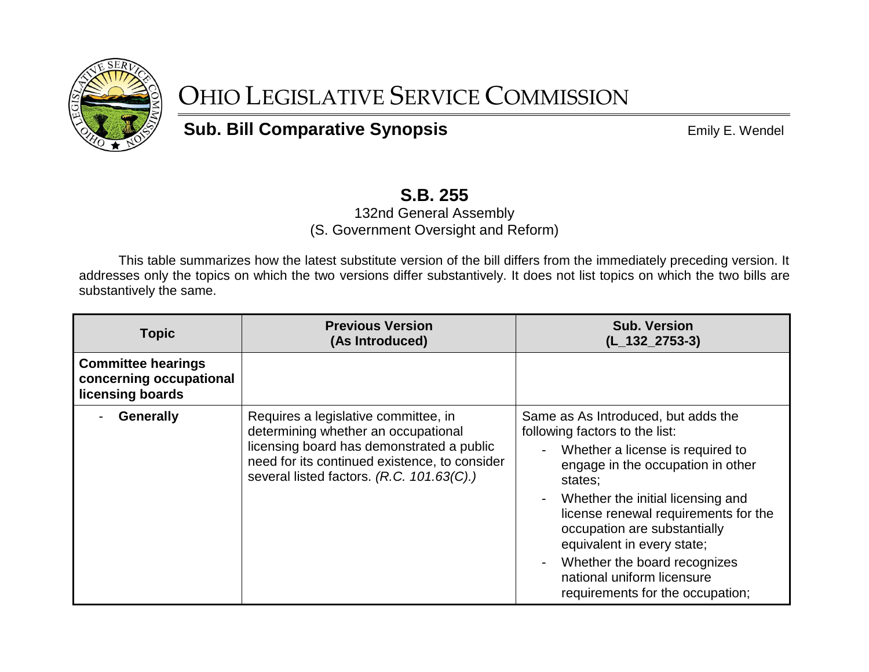

## OHIO LEGISLATIVE SERVICE COMMISSION

**Sub. Bill Comparative Synopsis EMILY COMPARE: Wendel** 

## **S.B. 255**

132nd General Assembly (S. Government Oversight and Reform)

This table summarizes how the latest substitute version of the bill differs from the immediately preceding version. It addresses only the topics on which the two versions differ substantively. It does not list topics on which the two bills are substantively the same.

| <b>Topic</b>                                                             | <b>Previous Version</b><br>(As Introduced)                                                                                                                                                                             | <b>Sub. Version</b><br>$(L_132_2753-3)$                                                                                                                                                                                                                                                                                                                                                                |
|--------------------------------------------------------------------------|------------------------------------------------------------------------------------------------------------------------------------------------------------------------------------------------------------------------|--------------------------------------------------------------------------------------------------------------------------------------------------------------------------------------------------------------------------------------------------------------------------------------------------------------------------------------------------------------------------------------------------------|
| <b>Committee hearings</b><br>concerning occupational<br>licensing boards |                                                                                                                                                                                                                        |                                                                                                                                                                                                                                                                                                                                                                                                        |
| <b>Generally</b>                                                         | Requires a legislative committee, in<br>determining whether an occupational<br>licensing board has demonstrated a public<br>need for its continued existence, to consider<br>several listed factors. (R.C. 101.63(C).) | Same as As Introduced, but adds the<br>following factors to the list:<br>Whether a license is required to<br>engage in the occupation in other<br>states;<br>Whether the initial licensing and<br>license renewal requirements for the<br>occupation are substantially<br>equivalent in every state;<br>Whether the board recognizes<br>national uniform licensure<br>requirements for the occupation; |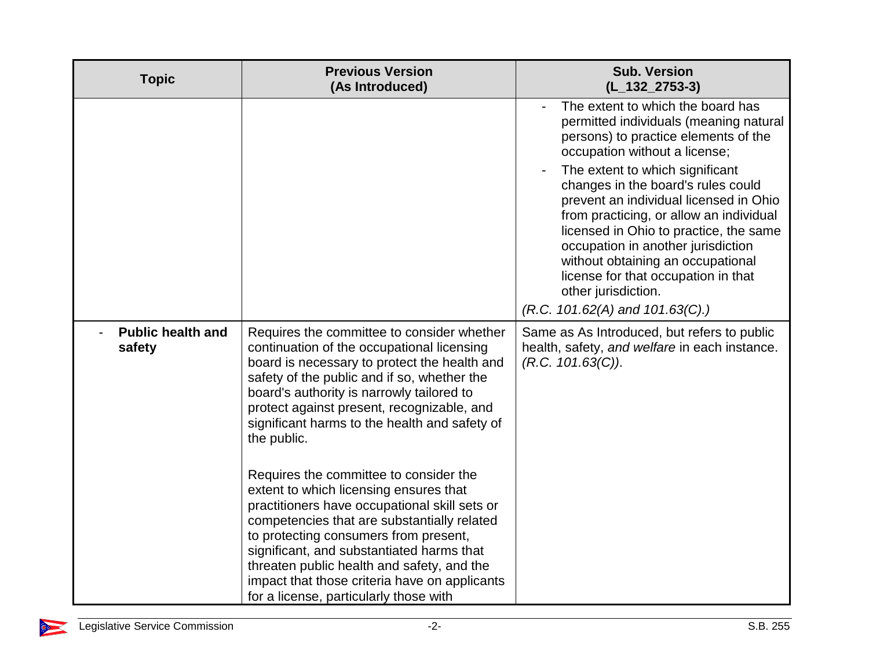| <b>Topic</b>                       | <b>Previous Version</b><br>(As Introduced)                                                                                                                                                                                                                                                                                                                                                                                             | <b>Sub. Version</b><br>$(L_132_2753-3)$                                                                                                                                                                                                                                                                                                                                                                                                                                                                                                      |
|------------------------------------|----------------------------------------------------------------------------------------------------------------------------------------------------------------------------------------------------------------------------------------------------------------------------------------------------------------------------------------------------------------------------------------------------------------------------------------|----------------------------------------------------------------------------------------------------------------------------------------------------------------------------------------------------------------------------------------------------------------------------------------------------------------------------------------------------------------------------------------------------------------------------------------------------------------------------------------------------------------------------------------------|
|                                    |                                                                                                                                                                                                                                                                                                                                                                                                                                        | The extent to which the board has<br>permitted individuals (meaning natural<br>persons) to practice elements of the<br>occupation without a license;<br>The extent to which significant<br>changes in the board's rules could<br>prevent an individual licensed in Ohio<br>from practicing, or allow an individual<br>licensed in Ohio to practice, the same<br>occupation in another jurisdiction<br>without obtaining an occupational<br>license for that occupation in that<br>other jurisdiction.<br>$(R.C. 101.62(A)$ and $101.63(C).)$ |
| <b>Public health and</b><br>safety | Requires the committee to consider whether<br>continuation of the occupational licensing<br>board is necessary to protect the health and<br>safety of the public and if so, whether the<br>board's authority is narrowly tailored to<br>protect against present, recognizable, and<br>significant harms to the health and safety of<br>the public.<br>Requires the committee to consider the<br>extent to which licensing ensures that | Same as As Introduced, but refers to public<br>health, safety, and welfare in each instance.<br>(R.C. 101.63(C)).                                                                                                                                                                                                                                                                                                                                                                                                                            |
|                                    | practitioners have occupational skill sets or<br>competencies that are substantially related<br>to protecting consumers from present,<br>significant, and substantiated harms that<br>threaten public health and safety, and the<br>impact that those criteria have on applicants<br>for a license, particularly those with                                                                                                            |                                                                                                                                                                                                                                                                                                                                                                                                                                                                                                                                              |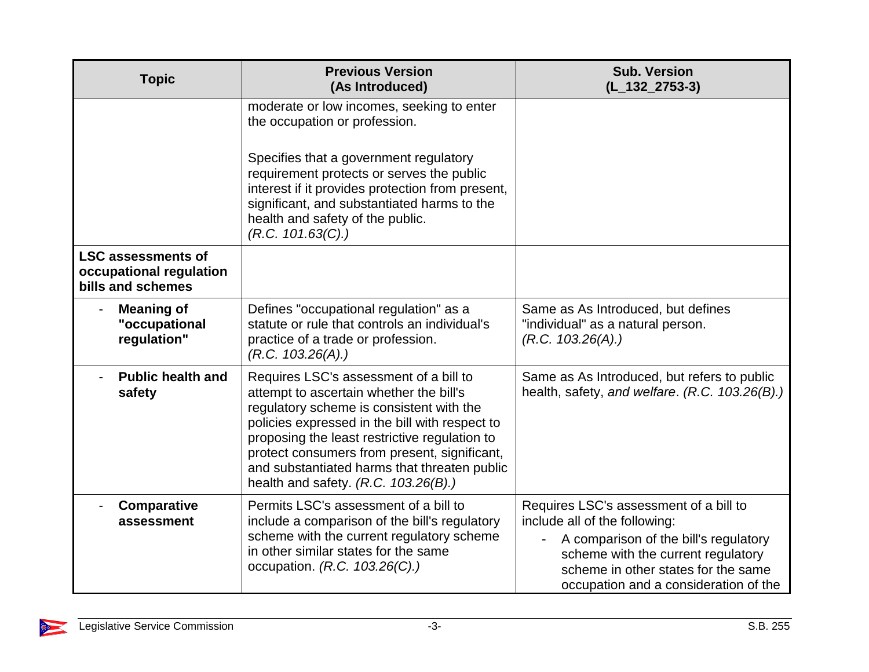| <b>Topic</b>                                                              | <b>Previous Version</b><br>(As Introduced)                                                                                                                                                                                                                                                                                                                                | <b>Sub. Version</b><br>$(L_132_2753-3)$                                                                                                                                                                                                |
|---------------------------------------------------------------------------|---------------------------------------------------------------------------------------------------------------------------------------------------------------------------------------------------------------------------------------------------------------------------------------------------------------------------------------------------------------------------|----------------------------------------------------------------------------------------------------------------------------------------------------------------------------------------------------------------------------------------|
|                                                                           | moderate or low incomes, seeking to enter<br>the occupation or profession.                                                                                                                                                                                                                                                                                                |                                                                                                                                                                                                                                        |
|                                                                           | Specifies that a government regulatory<br>requirement protects or serves the public<br>interest if it provides protection from present,<br>significant, and substantiated harms to the<br>health and safety of the public.<br>(R.C. 101.63(C).)                                                                                                                           |                                                                                                                                                                                                                                        |
| <b>LSC assessments of</b><br>occupational regulation<br>bills and schemes |                                                                                                                                                                                                                                                                                                                                                                           |                                                                                                                                                                                                                                        |
| <b>Meaning of</b><br>"occupational<br>regulation"                         | Defines "occupational regulation" as a<br>statute or rule that controls an individual's<br>practice of a trade or profession.<br>(R.C. 103.26(A))                                                                                                                                                                                                                         | Same as As Introduced, but defines<br>"individual" as a natural person.<br>(R.C. 103.26(A))                                                                                                                                            |
| <b>Public health and</b><br>safety                                        | Requires LSC's assessment of a bill to<br>attempt to ascertain whether the bill's<br>regulatory scheme is consistent with the<br>policies expressed in the bill with respect to<br>proposing the least restrictive regulation to<br>protect consumers from present, significant,<br>and substantiated harms that threaten public<br>health and safety. $(R.C. 103.26(B))$ | Same as As Introduced, but refers to public<br>health, safety, and welfare. (R.C. 103.26(B).)                                                                                                                                          |
| <b>Comparative</b><br>assessment                                          | Permits LSC's assessment of a bill to<br>include a comparison of the bill's regulatory<br>scheme with the current regulatory scheme<br>in other similar states for the same<br>occupation. (R.C. 103.26(C).)                                                                                                                                                              | Requires LSC's assessment of a bill to<br>include all of the following:<br>A comparison of the bill's regulatory<br>scheme with the current regulatory<br>scheme in other states for the same<br>occupation and a consideration of the |

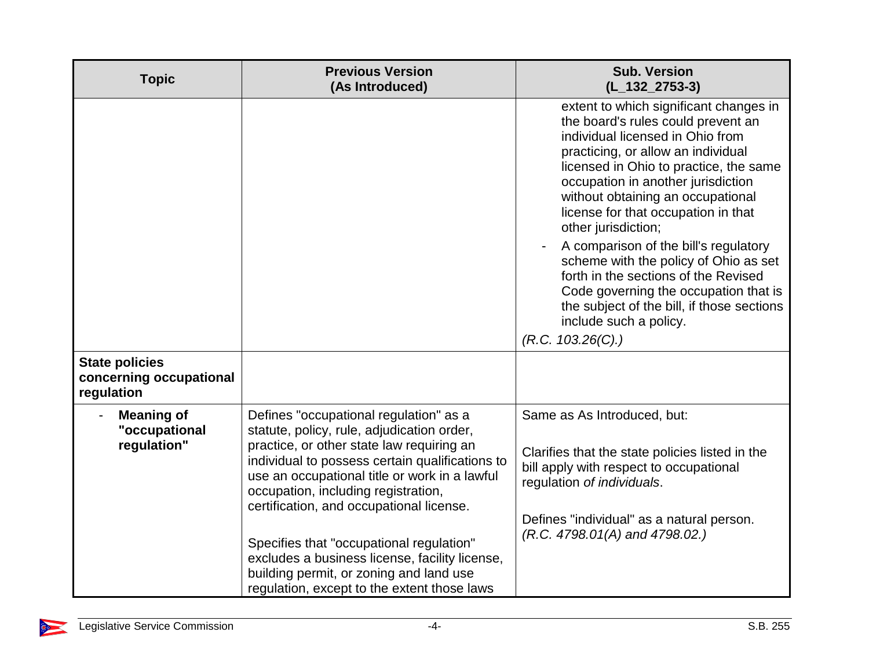| <b>Topic</b>                                                   | <b>Previous Version</b><br>(As Introduced)                                                                                                                                                                                                                                                                                                                                                                                                                                                                       | <b>Sub. Version</b><br>$(L_132_2753-3)$                                                                                                                                                                                                                                                                                                                                                                                                                                                                                                                                                                   |
|----------------------------------------------------------------|------------------------------------------------------------------------------------------------------------------------------------------------------------------------------------------------------------------------------------------------------------------------------------------------------------------------------------------------------------------------------------------------------------------------------------------------------------------------------------------------------------------|-----------------------------------------------------------------------------------------------------------------------------------------------------------------------------------------------------------------------------------------------------------------------------------------------------------------------------------------------------------------------------------------------------------------------------------------------------------------------------------------------------------------------------------------------------------------------------------------------------------|
|                                                                |                                                                                                                                                                                                                                                                                                                                                                                                                                                                                                                  | extent to which significant changes in<br>the board's rules could prevent an<br>individual licensed in Ohio from<br>practicing, or allow an individual<br>licensed in Ohio to practice, the same<br>occupation in another jurisdiction<br>without obtaining an occupational<br>license for that occupation in that<br>other jurisdiction;<br>A comparison of the bill's regulatory<br>scheme with the policy of Ohio as set<br>forth in the sections of the Revised<br>Code governing the occupation that is<br>the subject of the bill, if those sections<br>include such a policy.<br>(R.C. 103.26(C).) |
| <b>State policies</b><br>concerning occupational<br>regulation |                                                                                                                                                                                                                                                                                                                                                                                                                                                                                                                  |                                                                                                                                                                                                                                                                                                                                                                                                                                                                                                                                                                                                           |
| <b>Meaning of</b><br>"occupational<br>regulation"              | Defines "occupational regulation" as a<br>statute, policy, rule, adjudication order,<br>practice, or other state law requiring an<br>individual to possess certain qualifications to<br>use an occupational title or work in a lawful<br>occupation, including registration,<br>certification, and occupational license.<br>Specifies that "occupational regulation"<br>excludes a business license, facility license,<br>building permit, or zoning and land use<br>regulation, except to the extent those laws | Same as As Introduced, but:<br>Clarifies that the state policies listed in the<br>bill apply with respect to occupational<br>regulation of individuals.<br>Defines "individual" as a natural person.<br>$(R.C. 4798.01(A)$ and $4798.02.)$                                                                                                                                                                                                                                                                                                                                                                |